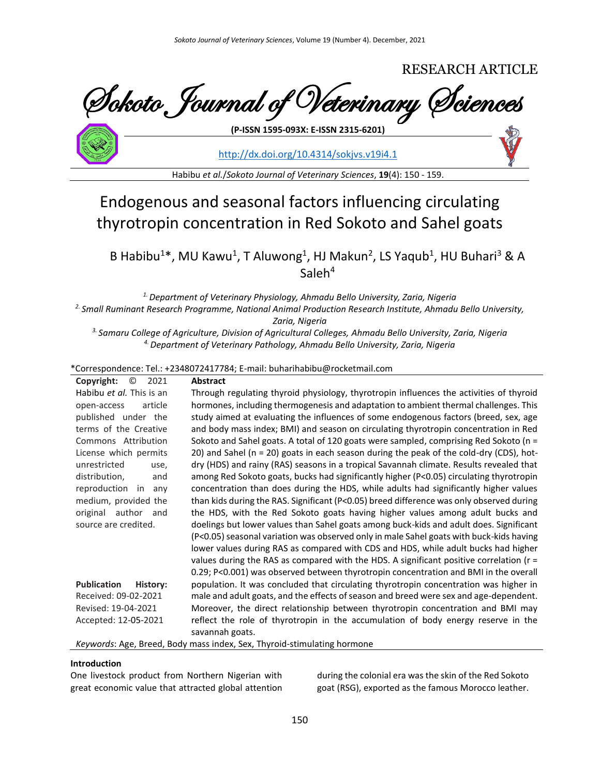# RESEARCH ARTICLE

Sokoto Journal of Veterinary Sciences **(P-ISSN 1595-093X: E-ISSN 2315-6201)**

<http://dx.doi.org/10.4314/sokjvs.v19i4.1>

Habibu *et al.*/*Sokoto Journal of Veterinary Sciences*, **19**(4): 150 - 159.

# Endogenous and seasonal factors influencing circulating thyrotropin concentration in Red Sokoto and Sahel goats

B Habibu<sup>1\*</sup>, MU Kawu<sup>1</sup>, T Aluwong<sup>1</sup>, HJ Makun<sup>2</sup>, LS Yaqub<sup>1</sup>, HU Buhari<sup>3</sup> & A  $S$ aleh $4$ 

*1. Department of Veterinary Physiology, Ahmadu Bello University, Zaria, Nigeria*

*2. Small Ruminant Research Programme, National Animal Production Research Institute, Ahmadu Bello University,* 

*Zaria, Nigeria*

*3. Samaru College of Agriculture, Division of Agricultural Colleges, Ahmadu Bello University, Zaria, Nigeria 4. Department of Veterinary Pathology, Ahmadu Bello University, Zaria, Nigeria*

### \*Correspondence: Tel.: +2348072417784; E-mail: buharihabibu@rocketmail.com

| $\circledcirc$<br>Copyright:<br>2021 | <b>Abstract</b>                                                                                      |
|--------------------------------------|------------------------------------------------------------------------------------------------------|
| Habibu et al. This is an             | Through regulating thyroid physiology, thyrotropin influences the activities of thyroid              |
| article<br>open-access               | hormones, including thermogenesis and adaptation to ambient thermal challenges. This                 |
| published under the                  | study aimed at evaluating the influences of some endogenous factors (breed, sex, age                 |
| terms of the Creative                | and body mass index; BMI) and season on circulating thyrotropin concentration in Red                 |
| Commons Attribution                  | Sokoto and Sahel goats. A total of 120 goats were sampled, comprising Red Sokoto (n =                |
| License which permits                | 20) and Sahel (n = 20) goats in each season during the peak of the cold-dry (CDS), hot-              |
| unrestricted<br>use,                 | dry (HDS) and rainy (RAS) seasons in a tropical Savannah climate. Results revealed that              |
| distribution,<br>and                 | among Red Sokoto goats, bucks had significantly higher (P<0.05) circulating thyrotropin              |
| reproduction in<br>any               | concentration than does during the HDS, while adults had significantly higher values                 |
| medium, provided the                 | than kids during the RAS. Significant (P<0.05) breed difference was only observed during             |
| original author<br>and               | the HDS, with the Red Sokoto goats having higher values among adult bucks and                        |
| source are credited.                 | doelings but lower values than Sahel goats among buck-kids and adult does. Significant               |
|                                      | (P<0.05) seasonal variation was observed only in male Sahel goats with buck-kids having              |
|                                      | lower values during RAS as compared with CDS and HDS, while adult bucks had higher                   |
|                                      | values during the RAS as compared with the HDS. A significant positive correlation ( $r =$           |
|                                      | 0.29; P<0.001) was observed between thyrotropin concentration and BMI in the overall                 |
| Publication<br>History:              | population. It was concluded that circulating thyrotropin concentration was higher in                |
| Received: 09-02-2021                 | male and adult goats, and the effects of season and breed were sex and age-dependent.                |
| Revised: 19-04-2021                  | Moreover, the direct relationship between thyrotropin concentration and BMI may                      |
| Accepted: 12-05-2021                 | reflect the role of thyrotropin in the accumulation of body energy reserve in the<br>savannah goats. |
|                                      |                                                                                                      |

*Keywords*: Age, Breed, Body mass index, Sex, Thyroid-stimulating hormone

#### **Introduction**

One livestock product from Northern Nigerian with great economic value that attracted global attention during the colonial era was the skin of the Red Sokoto goat (RSG), exported as the famous Morocco leather.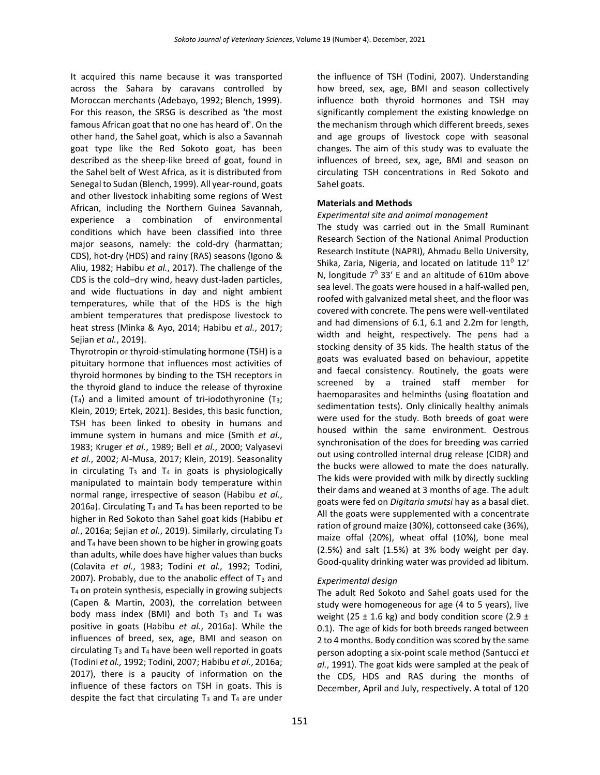It acquired this name because it was transported across the Sahara by caravans controlled by Moroccan merchants (Adebayo, 1992; Blench, 1999). For this reason, the SRSG is described as 'the most famous African goat that no one has heard of'. On the other hand, the Sahel goat, which is also a Savannah goat type like the Red Sokoto goat, has been described as the sheep-like breed of goat, found in the Sahel belt of West Africa, as it is distributed from Senegal to Sudan (Blench, 1999). All year-round, goats and other livestock inhabiting some regions of West African, including the Northern Guinea Savannah, experience a combination of environmental conditions which have been classified into three major seasons, namely: the cold-dry (harmattan; CDS), hot-dry (HDS) and rainy (RAS) seasons (Igono & Aliu, 1982; Habibu *et al.*, 2017). The challenge of the CDS is the cold–dry wind, heavy dust-laden particles, and wide fluctuations in day and night ambient temperatures, while that of the HDS is the high ambient temperatures that predispose livestock to heat stress (Minka & Ayo, 2014; Habibu *et al.*, 2017; Sejian *et al.*, 2019).

Thyrotropin or thyroid-stimulating hormone (TSH) is a pituitary hormone that influences most activities of thyroid hormones by binding to the TSH receptors in the thyroid gland to induce the release of thyroxine  $(T_4)$  and a limited amount of tri-iodothyronine  $(T_3;$ Klein, 2019; Ertek, 2021). Besides, this basic function, TSH has been linked to obesity in humans and immune system in humans and mice (Smith *et al.*, 1983; Kruger *et al.*, 1989; Bell *et al.*, 2000; Valyasevi *et al.*, 2002; Al-Musa, 2017; Klein, 2019). Seasonality in circulating  $T_3$  and  $T_4$  in goats is physiologically manipulated to maintain body temperature within normal range, irrespective of season (Habibu *et al.*, 2016a). Circulating  $T_3$  and  $T_4$  has been reported to be higher in Red Sokoto than Sahel goat kids (Habibu *et al.*, 2016a; Sejian *et al.*, 2019). Similarly, circulating T<sup>3</sup> and  $T_4$  have been shown to be higher in growing goats than adults, while does have higher values than bucks (Colavita *et al.*, 1983; Todini *et al.,* 1992; Todini, 2007). Probably, due to the anabolic effect of  $T_3$  and T<sup>4</sup> on protein synthesis, especially in growing subjects (Capen & Martin, 2003), the correlation between body mass index (BMI) and both  $T_3$  and  $T_4$  was positive in goats (Habibu *et al.*, 2016a). While the influences of breed, sex, age, BMI and season on circulating  $T_3$  and  $T_4$  have been well reported in goats (Todini *et al.,* 1992; Todini, 2007; Habibu *et al.*, 2016a; 2017), there is a paucity of information on the influence of these factors on TSH in goats. This is despite the fact that circulating  $T_3$  and  $T_4$  are under

the influence of TSH (Todini, 2007). Understanding how breed, sex, age, BMI and season collectively influence both thyroid hormones and TSH may significantly complement the existing knowledge on the mechanism through which different breeds, sexes and age groups of livestock cope with seasonal changes. The aim of this study was to evaluate the influences of breed, sex, age, BMI and season on circulating TSH concentrations in Red Sokoto and Sahel goats.

### **Materials and Methods**

#### *Experimental site and animal management*

The study was carried out in the Small Ruminant Research Section of the National Animal Production Research Institute (NAPRI), Ahmadu Bello University, Shika, Zaria, Nigeria, and located on latitude  $11^0$   $12'$ N, longitude  $7^0$  33' E and an altitude of 610m above sea level. The goats were housed in a half-walled pen, roofed with galvanized metal sheet, and the floor was covered with concrete. The pens were well-ventilated and had dimensions of 6.1, 6.1 and 2.2m for length, width and height, respectively. The pens had a stocking density of 35 kids. The health status of the goats was evaluated based on behaviour, appetite and faecal consistency. Routinely, the goats were screened by a trained staff member for haemoparasites and helminths (using floatation and sedimentation tests). Only clinically healthy animals were used for the study. Both breeds of goat were housed within the same environment. Oestrous synchronisation of the does for breeding was carried out using controlled internal drug release (CIDR) and the bucks were allowed to mate the does naturally. The kids were provided with milk by directly suckling their dams and weaned at 3 months of age. The adult goats were fed on *Digitaria smutsi* hay as a basal diet. All the goats were supplemented with a concentrate ration of ground maize (30%), cottonseed cake (36%), maize offal (20%), wheat offal (10%), bone meal (2.5%) and salt (1.5%) at 3% body weight per day. Good-quality drinking water was provided ad libitum.

### *Experimental design*

The adult Red Sokoto and Sahel goats used for the study were homogeneous for age (4 to 5 years), live weight (25  $\pm$  1.6 kg) and body condition score (2.9  $\pm$ 0.1). The age of kids for both breeds ranged between 2 to 4 months. Body condition was scored by the same person adopting a six-point scale method (Santucci *et al.*, 1991). The goat kids were sampled at the peak of the CDS, HDS and RAS during the months of December, April and July, respectively. A total of 120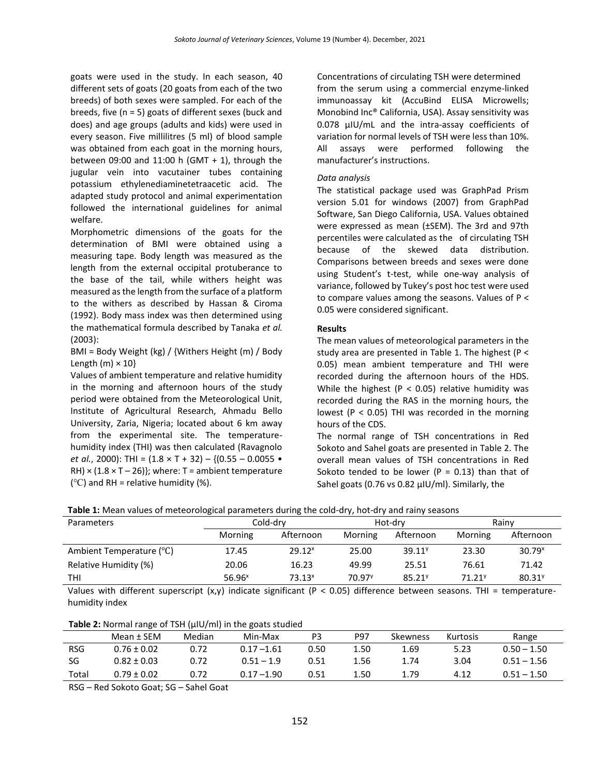goats were used in the study. In each season, 40 different sets of goats (20 goats from each of the two breeds) of both sexes were sampled. For each of the breeds, five (n = 5) goats of different sexes (buck and does) and age groups (adults and kids) were used in every season. Five millilitres (5 ml) of blood sample was obtained from each goat in the morning hours, between 09:00 and 11:00 h (GMT + 1), through the jugular vein into vacutainer tubes containing potassium ethylenediaminetetraacetic acid. The adapted study protocol and animal experimentation followed the international guidelines for animal welfare.

Morphometric dimensions of the goats for the determination of BMI were obtained using a measuring tape. Body length was measured as the length from the external occipital protuberance to the base of the tail, while withers height was measured as the length from the surface of a platform to the withers as described by Hassan & Ciroma (1992). Body mass index was then determined using the mathematical formula described by Tanaka *et al.* (2003):

BMI = Body Weight (kg) / {Withers Height (m) / Body Length  $(m) \times 10$ 

Values of ambient temperature and relative humidity in the morning and afternoon hours of the study period were obtained from the Meteorological Unit, Institute of Agricultural Research, Ahmadu Bello University, Zaria, Nigeria; located about 6 km away from the experimental site. The temperaturehumidity index (THI) was then calculated (Ravagnolo *et al.*, 2000): THI = (1.8 × T + 32) – {(0.55 – 0.0055 • RH)  $\times$  (1.8  $\times$  T – 26)}; where: T = ambient temperature ( $^{\circ}$ C) and RH = relative humidity (%).

Concentrations of circulating TSH were determined from the serum using a commercial enzyme-linked immunoassay kit (AccuBind ELISA Microwells; Monobind Inc® California, USA). Assay sensitivity was 0.078 µIU/mL and the intra-assay coefficients of variation for normal levels of TSH were less than 10%. All assays were performed following the manufacturer's instructions.

## *Data analysis*

The statistical package used was GraphPad Prism version 5.01 for windows (2007) from GraphPad Software, San Diego California, USA. Values obtained were expressed as mean (±SEM). The 3rd and 97th percentiles were calculated as the of circulating TSH because of the skewed data distribution. Comparisons between breeds and sexes were done using Student's t-test, while one-way analysis of variance, followed by Tukey's post hoc test were used to compare values among the seasons. Values of P < 0.05 were considered significant.

# **Results**

The mean values of meteorological parameters in the study area are presented in Table 1. The highest (P < 0.05) mean ambient temperature and THI were recorded during the afternoon hours of the HDS. While the highest ( $P < 0.05$ ) relative humidity was recorded during the RAS in the morning hours, the lowest ( $P < 0.05$ ) THI was recorded in the morning hours of the CDS.

The normal range of TSH concentrations in Red Sokoto and Sahel goats are presented in Table 2. The overall mean values of TSH concentrations in Red Sokoto tended to be lower ( $P = 0.13$ ) than that of Sahel goats (0.76 vs 0.82 µIU/ml). Similarly, the

| Parameters               | Cold-drv<br>Hot-drv |                    |                    | Rainv              |                    |                      |
|--------------------------|---------------------|--------------------|--------------------|--------------------|--------------------|----------------------|
|                          | Morning             | Afternoon          | Morning            | Afternoon          | Morning            | Afternoon            |
| Ambient Temperature (°C) | 17.45               | 29.12 <sup>x</sup> | 25.00              | 39.11 <sup>9</sup> | 23.30              | $30.79^{x}$          |
| Relative Humidity (%)    | 20.06               | 16.23              | 49.99              | 25.51              | 76.61              | 71.42                |
| THI                      | 56.96 <sup>x</sup>  | 73.13 <sup>x</sup> | 70.97 <sup>y</sup> | 85.21 <sup>y</sup> | 71.21 <sup>y</sup> | $80.31$ <sup>y</sup> |
| .                        |                     |                    | .                  |                    |                    |                      |

Values with different superscript  $(x,y)$  indicate significant (P < 0.05) difference between seasons. THI = temperaturehumidity index

**Table 2:** Normal range of TSH (µIU/ml) in the goats studied

|            | Mean ± SEM      | Median | Min-Max       | P3   | <b>P97</b> | Skewness | Kurtosis | Range         |
|------------|-----------------|--------|---------------|------|------------|----------|----------|---------------|
| <b>RSG</b> | $0.76 \pm 0.02$ | 0.72   | $0.17 - 1.61$ | 0.50 | 1.50       | 1.69     | 5.23     | $0.50 - 1.50$ |
| SG         | $0.82 \pm 0.03$ | 0.72   | $0.51 - 1.9$  | 0.51 | 1.56       | 1.74     | 3.04     | $0.51 - 1.56$ |
| Total      | $0.79 \pm 0.02$ | 0.72   | $0.17 - 1.90$ | 0.51 | 1.50       | 1.79     | 4.12     | $0.51 - 1.50$ |

RSG – Red Sokoto Goat; SG – Sahel Goat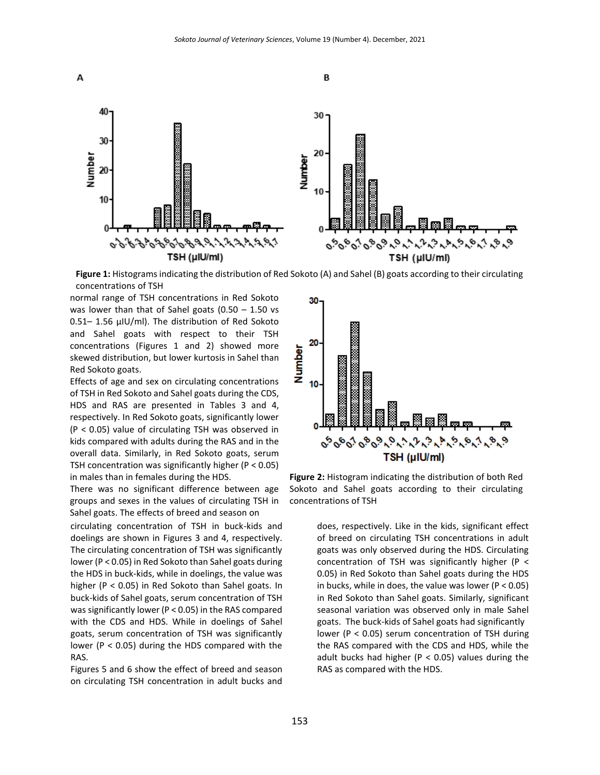

**Figure 1:** Histograms indicating the distribution of Red Sokoto (A) and Sahel (B) goats according to their circulating concentrations of TSH

normal range of TSH concentrations in Red Sokoto was lower than that of Sahel goats  $(0.50 - 1.50$  vs 0.51– 1.56 µIU/ml). The distribution of Red Sokoto and Sahel goats with respect to their TSH concentrations (Figures 1 and 2) showed more skewed distribution, but lower kurtosis in Sahel than Red Sokoto goats.

Effects of age and sex on circulating concentrations of TSH in Red Sokoto and Sahel goats during the CDS, HDS and RAS are presented in Tables 3 and 4, respectively. In Red Sokoto goats, significantly lower (P < 0.05) value of circulating TSH was observed in kids compared with adults during the RAS and in the overall data. Similarly, in Red Sokoto goats, serum TSH concentration was significantly higher ( $P < 0.05$ ) in males than in females during the HDS.

There was no significant difference between age groups and sexes in the values of circulating TSH in Sahel goats. The effects of breed and season on

circulating concentration of TSH in buck-kids and doelings are shown in Figures 3 and 4, respectively. The circulating concentration of TSH was significantly lower (P < 0.05) in Red Sokoto than Sahel goats during the HDS in buck-kids, while in doelings, the value was higher (P < 0.05) in Red Sokoto than Sahel goats. In buck-kids of Sahel goats, serum concentration of TSH was significantly lower (P < 0.05) in the RAS compared with the CDS and HDS. While in doelings of Sahel goats, serum concentration of TSH was significantly lower (P < 0.05) during the HDS compared with the RAS.

Figures 5 and 6 show the effect of breed and season on circulating TSH concentration in adult bucks and



**Figure 2:** Histogram indicating the distribution of both Red Sokoto and Sahel goats according to their circulating concentrations of TSH

> does, respectively. Like in the kids, significant effect of breed on circulating TSH concentrations in adult goats was only observed during the HDS. Circulating concentration of TSH was significantly higher (P < 0.05) in Red Sokoto than Sahel goats during the HDS in bucks, while in does, the value was lower ( $P < 0.05$ ) in Red Sokoto than Sahel goats. Similarly, significant seasonal variation was observed only in male Sahel goats. The buck-kids of Sahel goats had significantly lower (P < 0.05) serum concentration of TSH during the RAS compared with the CDS and HDS, while the adult bucks had higher ( $P < 0.05$ ) values during the RAS as compared with the HDS.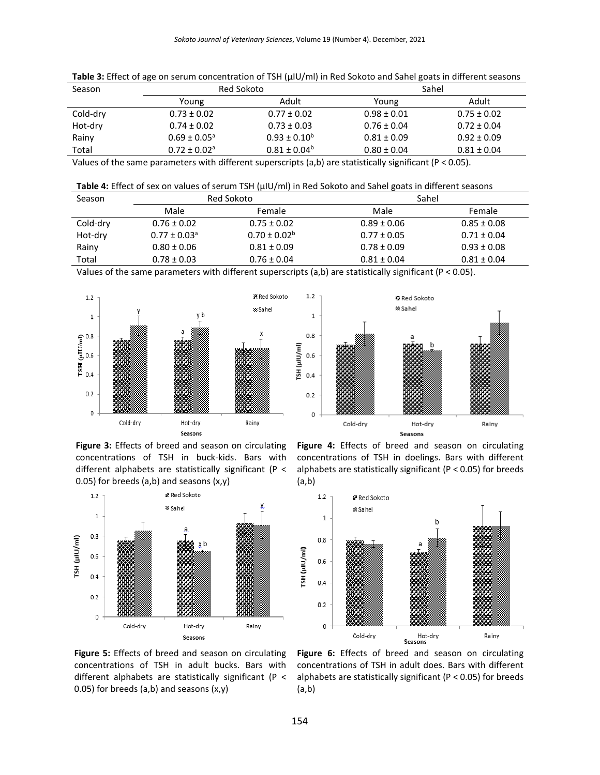| Season   | Red Sokoto                   |                   | Sahel           |                 |
|----------|------------------------------|-------------------|-----------------|-----------------|
|          | Young                        | Adult             | Young           | Adult           |
| Cold-dry | $0.73 \pm 0.02$              | $0.77 \pm 0.02$   | $0.98 \pm 0.01$ | $0.75 \pm 0.02$ |
| Hot-dry  | $0.74 \pm 0.02$              | $0.73 \pm 0.03$   | $0.76 \pm 0.04$ | $0.72 \pm 0.04$ |
| Rainy    | $0.69 \pm 0.05^{\circ}$      | $0.93 \pm 0.10^b$ | $0.81 \pm 0.09$ | $0.92 \pm 0.09$ |
| Total    | $0.72 \pm 0.02$ <sup>a</sup> | $0.81 \pm 0.04^b$ | $0.80 \pm 0.04$ | $0.81 \pm 0.04$ |
|          |                              |                   |                 |                 |

Table 3: Effect of age on serum concentration of TSH ( $\mu$ IU/ml) in Red Sokoto and Sahel goats in different seasons

Values of the same parameters with different superscripts (a,b) are statistically significant (P < 0.05).

| Table 4: Effect of sex on values of serum TSH (µIU/ml) in Red Sokoto and Sahel goats in different seasons |
|-----------------------------------------------------------------------------------------------------------|
|-----------------------------------------------------------------------------------------------------------|

| Season   |                       | Red Sokoto        | Sahel           |                 |
|----------|-----------------------|-------------------|-----------------|-----------------|
|          | Male                  | Female            | Male            | Female          |
| Cold-dry | $0.76 \pm 0.02$       | $0.75 \pm 0.02$   | $0.89 \pm 0.06$ | $0.85 \pm 0.08$ |
| Hot-dry  | $0.77\pm0.03^{\rm a}$ | $0.70 \pm 0.02^b$ | $0.77 \pm 0.05$ | $0.71 \pm 0.04$ |
| Rainy    | $0.80 \pm 0.06$       | $0.81 \pm 0.09$   | $0.78 \pm 0.09$ | $0.93 \pm 0.08$ |
| Total    | $0.78 \pm 0.03$       | $0.76 \pm 0.04$   | $0.81 \pm 0.04$ | $0.81 \pm 0.04$ |

Values of the same parameters with different superscripts (a,b) are statistically significant (P < 0.05).





**Figure 3:** Effects of breed and season on circulating concentrations of TSH in buck-kids. Bars with different alphabets are statistically significant (P < 0.05) for breeds  $(a,b)$  and seasons  $(x,y)$ 



**Figure 4:** Effects of breed and season on circulating concentrations of TSH in doelings. Bars with different alphabets are statistically significant (P < 0.05) for breeds (a,b)



**Figure 5:** Effects of breed and season on circulating concentrations of TSH in adult bucks. Bars with different alphabets are statistically significant (P < 0.05) for breeds  $(a,b)$  and seasons  $(x,y)$ 

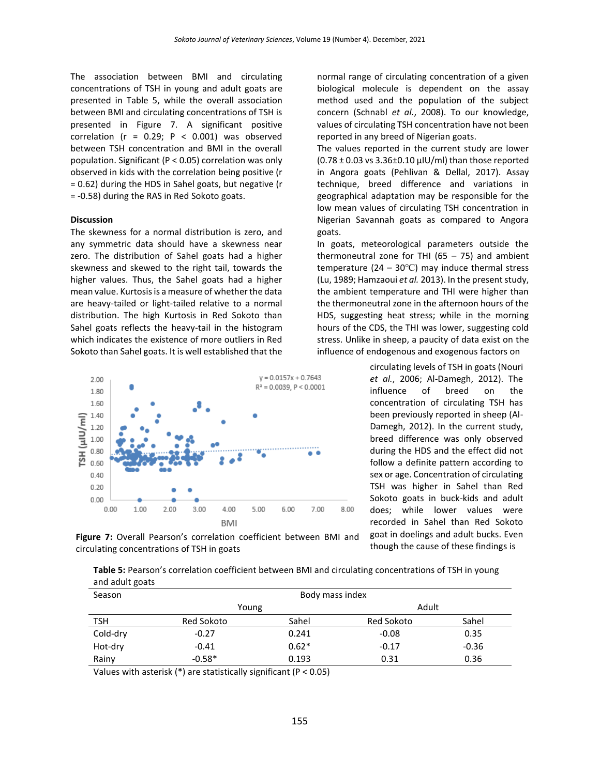The association between BMI and circulating concentrations of TSH in young and adult goats are presented in Table 5, while the overall association between BMI and circulating concentrations of TSH is presented in Figure 7. A significant positive correlation ( $r = 0.29$ ;  $P < 0.001$ ) was observed between TSH concentration and BMI in the overall population. Significant (P < 0.05) correlation was only observed in kids with the correlation being positive (r = 0.62) during the HDS in Sahel goats, but negative (r = -0.58) during the RAS in Red Sokoto goats.

#### **Discussion**

The skewness for a normal distribution is zero, and any symmetric data should have a skewness near zero. The distribution of Sahel goats had a higher skewness and skewed to the right tail, towards the higher values. Thus, the Sahel goats had a higher mean value. Kurtosis is a measure of whether the data are heavy-tailed or light-tailed relative to a normal distribution. The high Kurtosis in Red Sokoto than Sahel goats reflects the heavy-tail in the histogram which indicates the existence of more outliers in Red Sokoto than Sahel goats. It is well established that the



normal range of circulating concentration of a given biological molecule is dependent on the assay method used and the population of the subject concern (Schnabl *et al.*, 2008). To our knowledge, values of circulating TSH concentration have not been reported in any breed of Nigerian goats.

The values reported in the current study are lower  $(0.78 \pm 0.03 \text{ vs } 3.36 \pm 0.10 \text{ }\mu\text{U/ml})$  than those reported in Angora goats (Pehlivan & Dellal, 2017). Assay technique, breed difference and variations in geographical adaptation may be responsible for the low mean values of circulating TSH concentration in Nigerian Savannah goats as compared to Angora goats.

In goats, meteorological parameters outside the thermoneutral zone for THI  $(65 - 75)$  and ambient temperature (24 – 30℃) may induce thermal stress (Lu, 1989; Hamzaoui *et al.* 2013). In the present study, the ambient temperature and THI were higher than the thermoneutral zone in the afternoon hours of the HDS, suggesting heat stress; while in the morning hours of the CDS, the THI was lower, suggesting cold stress. Unlike in sheep, a paucity of data exist on the influence of endogenous and exogenous factors on

> circulating levels of TSH in goats (Nouri *et al.*, 2006; Al-Damegh, 2012). The influence of breed on the concentration of circulating TSH has been previously reported in sheep (Al-Damegh, 2012). In the current study, breed difference was only observed during the HDS and the effect did not follow a definite pattern according to sex or age. Concentration of circulating TSH was higher in Sahel than Red Sokoto goats in buck-kids and adult does; while lower values were recorded in Sahel than Red Sokoto goat in doelings and adult bucks. Even though the cause of these findings is

**Figure 7:** Overall Pearson's correlation coefficient between BMI and circulating concentrations of TSH in goats

| Table 5: Pearson's correlation coefficient between BMI and circulating concentrations of TSH in young |
|-------------------------------------------------------------------------------------------------------|
| and adult goats                                                                                       |

| Season     |            | Body mass index |            |         |
|------------|------------|-----------------|------------|---------|
|            | Young      |                 | Adult      |         |
| <b>TSH</b> | Red Sokoto | Sahel           | Red Sokoto | Sahel   |
| Cold-dry   | $-0.27$    | 0.241           | $-0.08$    | 0.35    |
| Hot-dry    | $-0.41$    | $0.62*$         | $-0.17$    | $-0.36$ |
| Rainy      | $-0.58*$   | 0.193           | 0.31       | 0.36    |

Values with asterisk (\*) are statistically significant (P < 0.05)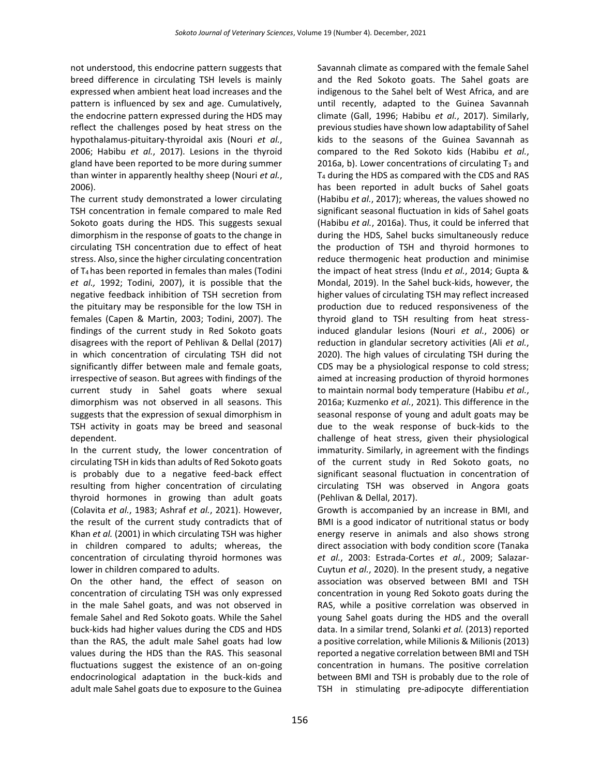not understood, this endocrine pattern suggests that breed difference in circulating TSH levels is mainly expressed when ambient heat load increases and the pattern is influenced by sex and age. Cumulatively, the endocrine pattern expressed during the HDS may reflect the challenges posed by heat stress on the hypothalamus-pituitary-thyroidal axis (Nouri *et al.*, 2006; Habibu *et al.*, 2017). Lesions in the thyroid gland have been reported to be more during summer than winter in apparently healthy sheep (Nouri *et al.*, 2006).

The current study demonstrated a lower circulating TSH concentration in female compared to male Red Sokoto goats during the HDS. This suggests sexual dimorphism in the response of goats to the change in circulating TSH concentration due to effect of heat stress. Also, since the higher circulating concentration of T4 has been reported in females than males (Todini *et al.,* 1992; Todini, 2007), it is possible that the negative feedback inhibition of TSH secretion from the pituitary may be responsible for the low TSH in females (Capen & Martin, 2003; Todini, 2007). The findings of the current study in Red Sokoto goats disagrees with the report of Pehlivan & Dellal (2017) in which concentration of circulating TSH did not significantly differ between male and female goats, irrespective of season. But agrees with findings of the current study in Sahel goats where sexual dimorphism was not observed in all seasons. This suggests that the expression of sexual dimorphism in TSH activity in goats may be breed and seasonal dependent.

In the current study, the lower concentration of circulating TSH in kids than adults of Red Sokoto goats is probably due to a negative feed-back effect resulting from higher concentration of circulating thyroid hormones in growing than adult goats (Colavita *et al.*, 1983; Ashraf *et al.*, 2021). However, the result of the current study contradicts that of Khan *et al.* (2001) in which circulating TSH was higher in children compared to adults; whereas, the concentration of circulating thyroid hormones was lower in children compared to adults.

On the other hand, the effect of season on concentration of circulating TSH was only expressed in the male Sahel goats, and was not observed in female Sahel and Red Sokoto goats. While the Sahel buck-kids had higher values during the CDS and HDS than the RAS, the adult male Sahel goats had low values during the HDS than the RAS. This seasonal fluctuations suggest the existence of an on-going endocrinological adaptation in the buck-kids and adult male Sahel goats due to exposure to the Guinea

Savannah climate as compared with the female Sahel and the Red Sokoto goats. The Sahel goats are indigenous to the Sahel belt of West Africa, and are until recently, adapted to the Guinea Savannah climate (Gall, 1996; Habibu *et al.*, 2017). Similarly, previous studies have shown low adaptability of Sahel kids to the seasons of the Guinea Savannah as compared to the Red Sokoto kids (Habibu *et al.*, 2016a, b). Lower concentrations of circulating  $T_3$  and T<sup>4</sup> during the HDS as compared with the CDS and RAS has been reported in adult bucks of Sahel goats (Habibu *et al.*, 2017); whereas, the values showed no significant seasonal fluctuation in kids of Sahel goats (Habibu *et al.*, 2016a). Thus, it could be inferred that during the HDS, Sahel bucks simultaneously reduce the production of TSH and thyroid hormones to reduce thermogenic heat production and minimise the impact of heat stress (Indu *et al.*, 2014; Gupta & Mondal, 2019). In the Sahel buck-kids, however, the higher values of circulating TSH may reflect increased production due to reduced responsiveness of the thyroid gland to TSH resulting from heat stressinduced glandular lesions (Nouri *et al.*, 2006) or reduction in glandular secretory activities (Ali *et al.*, 2020). The high values of circulating TSH during the CDS may be a physiological response to cold stress; aimed at increasing production of thyroid hormones to maintain normal body temperature (Habibu *et al.*, 2016a; Kuzmenko *et al.*, 2021). This difference in the seasonal response of young and adult goats may be due to the weak response of buck-kids to the challenge of heat stress, given their physiological immaturity. Similarly, in agreement with the findings of the current study in Red Sokoto goats, no significant seasonal fluctuation in concentration of circulating TSH was observed in Angora goats (Pehlivan & Dellal, 2017).

Growth is accompanied by an increase in BMI, and BMI is a good indicator of nutritional status or body energy reserve in animals and also shows strong direct association with body condition score (Tanaka *et al.*, 2003: Estrada-Cortes *et al.*, 2009; Salazar-Cuytun *et al.*, 2020). In the present study, a negative association was observed between BMI and TSH concentration in young Red Sokoto goats during the RAS, while a positive correlation was observed in young Sahel goats during the HDS and the overall data. In a similar trend, Solanki *et al.* (2013) reported a positive correlation, while Milionis & Milionis (2013) reported a negative correlation between BMI and TSH concentration in humans. The positive correlation between BMI and TSH is probably due to the role of TSH in stimulating pre-adipocyte differentiation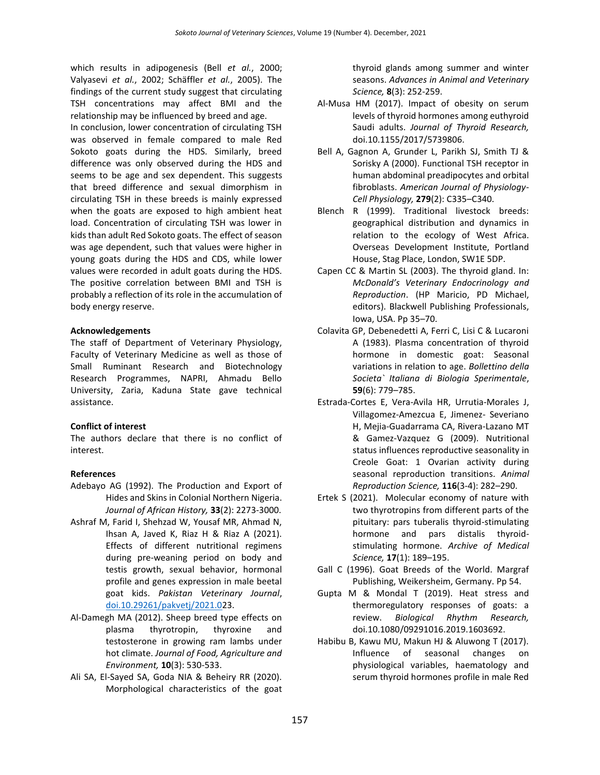which results in adipogenesis (Bell *et al.*, 2000; Valyasevi *et al.*, 2002; Schäffler *et al.*, 2005). The findings of the current study suggest that circulating TSH concentrations may affect BMI and the relationship may be influenced by breed and age.

In conclusion, lower concentration of circulating TSH was observed in female compared to male Red Sokoto goats during the HDS. Similarly, breed difference was only observed during the HDS and seems to be age and sex dependent. This suggests that breed difference and sexual dimorphism in circulating TSH in these breeds is mainly expressed when the goats are exposed to high ambient heat load. Concentration of circulating TSH was lower in kids than adult Red Sokoto goats. The effect of season was age dependent, such that values were higher in young goats during the HDS and CDS, while lower values were recorded in adult goats during the HDS. The positive correlation between BMI and TSH is probably a reflection of its role in the accumulation of body energy reserve.

### **Acknowledgements**

The staff of Department of Veterinary Physiology, Faculty of Veterinary Medicine as well as those of Small Ruminant Research and Biotechnology Research Programmes, NAPRI, Ahmadu Bello University, Zaria, Kaduna State gave technical assistance.

### **Conflict of interest**

The authors declare that there is no conflict of interest.

### **References**

- Adebayo AG (1992). The Production and Export of Hides and Skins in Colonial Northern Nigeria. *Journal of African History,* **33**(2): 2273-3000.
- Ashraf M, Farid I, Shehzad W, Yousaf MR, Ahmad N, Ihsan A, Javed K, Riaz H & Riaz A (2021). Effects of different nutritional regimens during pre-weaning period on body and testis growth, sexual behavior, hormonal profile and genes expression in male beetal goat kids. *Pakistan Veterinary Journal*, [doi.10.29261/pakvetj/2021.02](http://dx.doi.org/10.29261/pakvetj/2021.0)3.
- Al-Damegh MA (2012). Sheep breed type effects on plasma thyrotropin, thyroxine and testosterone in growing ram lambs under hot climate. *Journal of Food, Agriculture and Environment,* **10**(3): 530-533.
- Ali SA, El-Sayed SA, Goda NIA & Beheiry RR (2020). Morphological characteristics of the goat

thyroid glands among summer and winter seasons. *Advances in Animal and Veterinary Science,* **8**(3): 252-259.

- Al-Musa HM (2017). Impact of obesity on serum levels of thyroid hormones among euthyroid Saudi adults. *Journal of Thyroid Research,* doi.10.1155/2017/5739806.
- Bell A, Gagnon A, Grunder L, Parikh SJ, Smith TJ & Sorisky A (2000). Functional TSH receptor in human abdominal preadipocytes and orbital fibroblasts. *American Journal of Physiology-Cell Physiology,* **279**(2): C335–C340.
- Blench R (1999). Traditional livestock breeds: geographical distribution and dynamics in relation to the ecology of West Africa. Overseas Development Institute, Portland House, Stag Place, London, SW1E 5DP.
- Capen CC & Martin SL (2003). The thyroid gland. In: *McDonald's Veterinary Endocrinology and Reproduction*. (HP Maricio, PD Michael, editors). Blackwell Publishing Professionals, Iowa, USA. Pp 35–70.
- Colavita GP, Debenedetti A, Ferri C, Lisi C & Lucaroni A (1983). Plasma concentration of thyroid hormone in domestic goat: Seasonal variations in relation to age. *Bollettino della Societa` Italiana di Biologia Sperimentale*, **59**(6): 779–785.
- Estrada-Cortes E, Vera-Avila HR, Urrutia-Morales J, Villagomez-Amezcua E, Jimenez- Severiano H, Mejia-Guadarrama CA, Rivera-Lazano MT & Gamez-Vazquez G (2009). Nutritional status influences reproductive seasonality in Creole Goat: 1 Ovarian activity during seasonal reproduction transitions. *Animal Reproduction Science,* **116**(3-4): 282–290.
- Ertek S (2021). Molecular economy of nature with two thyrotropins from different parts of the pituitary: pars tuberalis thyroid-stimulating hormone and pars distalis thyroidstimulating hormone. *Archive of Medical Science,* **17**(1): 189–195.
- Gall C (1996). Goat Breeds of the World. Margraf Publishing, Weikersheim, Germany. Pp 54.
- Gupta M & Mondal T (2019). Heat stress and thermoregulatory responses of goats: a review. *Biological Rhythm Research,* doi.10.1080/09291016.2019.1603692.
- Habibu B, Kawu MU, Makun HJ & Aluwong T (2017). Influence of seasonal changes on physiological variables, haematology and serum thyroid hormones profile in male Red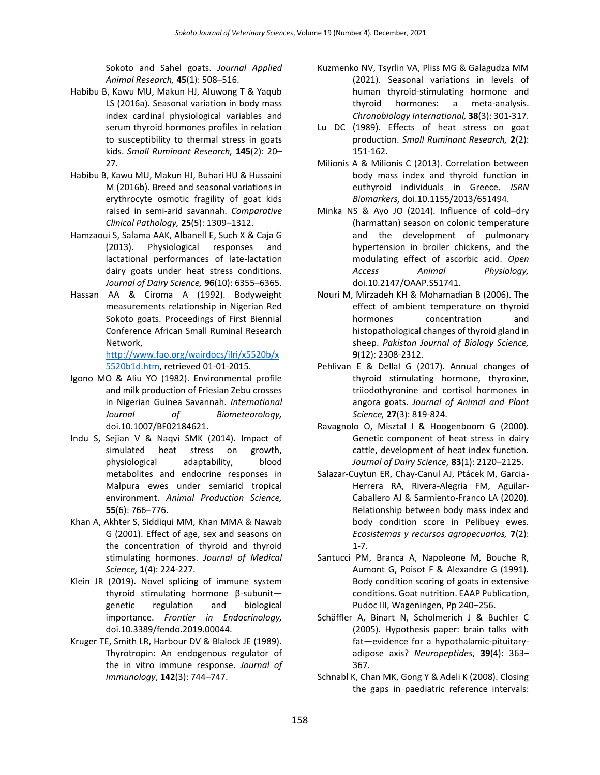Sokoto and Sahel goats. *Journal Applied Animal Research,* **45**(1): 508–516.

- Habibu B, Kawu MU, Makun HJ, Aluwong T & Yaqub LS (2016a). Seasonal variation in body mass index cardinal physiological variables and serum thyroid hormones profiles in relation to susceptibility to thermal stress in goats kids. *Small Ruminant Research,* **145**(2): 20– 27.
- Habibu B, Kawu MU, Makun HJ, Buhari HU & Hussaini M (2016b). Breed and seasonal variations in erythrocyte osmotic fragility of goat kids raised in semi-arid savannah. *Comparative Clinical Pathology,* **25**(5): 1309–1312.
- Hamzaoui S, Salama AAK, Albanell E, Such X & Caja G (2013). Physiological responses and lactational performances of late-lactation dairy goats under heat stress conditions. *Journal of Dairy Science,* **96**(10): 6355–6365.
- Hassan AA & Ciroma A (1992). Bodyweight measurements relationship in Nigerian Red Sokoto goats. Proceedings of First Biennial Conference African Small Ruminal Research Network,

[http://www.fao.org/wairdocs/ilri/x5520b/x](http://www.fao.org/wairdocs/ilri/x5520b/x5520b1d.htm) [5520b1d.htm,](http://www.fao.org/wairdocs/ilri/x5520b/x5520b1d.htm) retrieved 01-01-2015.

- Igono MO & Aliu YO (1982). Environmental profile and milk production of Friesian Zebu crosses in Nigerian Guinea Savannah. *International Journal of Biometeorology,*  doi.10.1007/BF02184621.
- Indu S, Sejian V & Naqvi SMK (2014). Impact of simulated heat stress on growth, physiological adaptability, blood metabolites and endocrine responses in Malpura ewes under semiarid tropical environment. *Animal Production Science,* **55**(6): 766–776.
- Khan A, Akhter S, Siddiqui MM, Khan MMA & Nawab G (2001). Effect of age, sex and seasons on the concentration of thyroid and thyroid stimulating hormones. *Journal of Medical Science,* **1**(4): 224-227.
- Klein JR (2019). Novel splicing of immune system thyroid stimulating hormone β-subunit genetic regulation and biological importance. *Frontier in Endocrinology,* doi.10.3389/fendo.2019.00044.
- Kruger TE, Smith LR, Harbour DV & Blalock JE (1989). Thyrotropin: An endogenous regulator of the in vitro immune response. *Journal of Immunology*, **142**(3): 744–747.
- Kuzmenko NV, Tsyrlin VA, Pliss MG & Galagudza MM (2021). Seasonal variations in levels of human thyroid-stimulating hormone and thyroid hormones: a meta-analysis. *Chronobiology International,* **38**(3): 301-317.
- Lu DC (1989). Effects of heat stress on goat production. *Small Ruminant Research,* **2**(2): 151-162.
- Milionis A & Milionis C (2013). Correlation between body mass index and thyroid function in euthyroid individuals in Greece. *ISRN Biomarkers,* doi.10.1155/2013/651494.
- Minka NS & Ayo JO (2014). Influence of cold–dry (harmattan) season on colonic temperature and the development of pulmonary hypertension in broiler chickens, and the modulating effect of ascorbic acid. *Open Access Animal Physiology,*  doi.10.2147/OAAP.S51741.
- Nouri M, Mirzadeh KH & Mohamadian B (2006). The effect of ambient temperature on thyroid hormones concentration and histopathological changes of thyroid gland in sheep. *Pakistan Journal of Biology Science,* **9**(12): 2308-2312.
- Pehlivan E & Dellal G (2017). Annual changes of thyroid stimulating hormone, thyroxine, triiodothyronine and cortisol hormones in angora goats. *Journal of Animal and Plant Science,* **27**(3): 819-824.
- Ravagnolo O, Misztal I & Hoogenboom G (2000). Genetic component of heat stress in dairy cattle, development of heat index function. *Journal of Dairy Science,* **83**(1): 2120–2125.
- Salazar-Cuytun ER, Chay-Canul AJ, Ptácek M, Garcia-Herrera RA, Rivera-Alegria FM, Aguilar-Caballero AJ & Sarmiento-Franco LA (2020). Relationship between body mass index and body condition score in Pelibuey ewes. *Ecosistemas y recursos agropecuarios,* **7**(2): 1-7.
- Santucci PM, Branca A, Napoleone M, Bouche R, Aumont G, Poisot F & Alexandre G (1991). Body condition scoring of goats in extensive conditions. Goat nutrition. EAAP Publication, Pudoc III, Wageningen, Pp 240–256.
- Schäffler A, Binart N, Scholmerich J & Buchler C (2005). Hypothesis paper: brain talks with fat—evidence for a hypothalamic-pituitaryadipose axis? *Neuropeptides*, **39**(4): 363– 367.
- Schnabl K, Chan MK, Gong Y & Adeli K (2008). Closing the gaps in paediatric reference intervals: